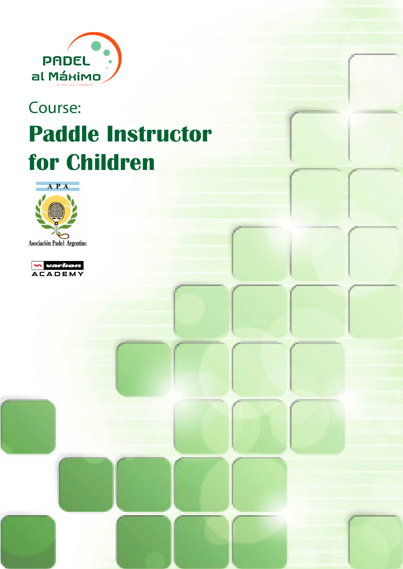

# Course: **Paddle Instructor for Children**



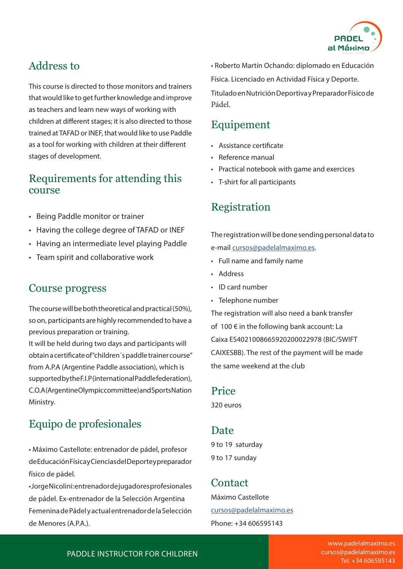

# Address to

This course is directed to those monitors and trainers that would like to get further knowledge and improve as teachers and learn new ways of working with children at different stages; it is also directed to those trained at TAFAD or INEF, that would like to use Paddle as a tool for working with children at their different stages of development.

#### Requirements for attending this course

- Being Paddle monitor or trainer
- Having the college degree of TAFAD or INEF
- Having an intermediate level playing Paddle
- Team spirit and collaborative work

#### Course progress

The course will be both theoretical and practical (50%), so on, participants are highly recommended to have a previous preparation or training.

It will be held during two days and participants will obtain a certificate of "children´s paddle trainer course" from A.P.A (Argentine Paddle association), which is supported by the F.I.P (international Paddle federation), C.O.A (Argentine Olympic committee) and Sports Nation Ministry.

## Equipo de profesionales

• Máximo Castellote: entrenador de pádel, profesor de Educación Física y Ciencias del Deporte y preparador físico de pádel.

• Jorge Nicolini: entrenador de jugadores profesionales de pádel. Ex-entrenador de la Selección Argentina Femenina de Pádel y actual entrenador de la Selección de Menores (A.P.A.).

• Roberto Martín Ochando: diplomado en Educación

Física. Licenciado en Actividad Física y Deporte.

Titulado en Nutrición Deportiva y Preparador Físico de Pádel.

## Equipement

- Assistance certificate
- Reference manual
- Practical notebook with game and exercices
- T-shirt for all participants

### Registration

The registration will be done sending personal data to e-mail cursos@padelalmaximo.es.

- Full name and family name
- Address
- ID card number
- Telephone number

The registration will also need a bank transfer of 100 € in the following bank account: La Caixa ES4021008665920200022978 (BIC/SWIFT CAIXESBB). The rest of the payment will be made the same weekend at the club

#### Price

320 euros

#### Date

9 to 19 saturday 9 to 17 sunday

#### Contact

Máximo Castellote cursos@padelalmaximo.es Phone: +34 606595143

PADDLE INSTRUCTOR FOR CHILDREN

www.padelalmaximo.es cursos@padelalmaximo.es Tel. +34 606595143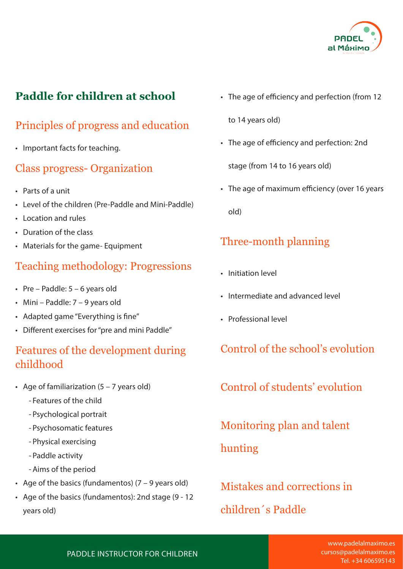

# **Paddle for children at school**

# Principles of progress and education

• Important facts for teaching.

#### Class progress- Organization

- Parts of a unit
- Level of the children (Pre-Paddle and Mini-Paddle)
- Location and rules
- Duration of the class
- Materials for the game- Equipment

# Teaching methodology: Progressions

- Pre Paddle:  $5 6$  years old
- Mini Paddle: 7 9 years old
- Adapted game "Everything is fine"
- Different exercises for "pre and mini Paddle"

## Features of the development during childhood

- Age of familiarization  $(5 7$  years old)
	- Features of the child
	- Psychological portrait
	- Psychosomatic features
	- Physical exercising
	- Paddle activity
	- Aims of the period
- Age of the basics (fundamentos) (7 9 years old)
- Age of the basics (fundamentos): 2nd stage (9 12 years old)

• The age of efficiency and perfection (from 12

to 14 years old)

• The age of efficiency and perfection: 2nd

stage (from 14 to 16 years old)

• The age of maximum efficiency (over 16 years old)

# Three-month planning

- Initiation level
- Intermediate and advanced level
- Professional level

Control of the school's evolution

Control of students' evolution

Monitoring plan and talent

hunting

Mistakes and corrections in children´s Paddle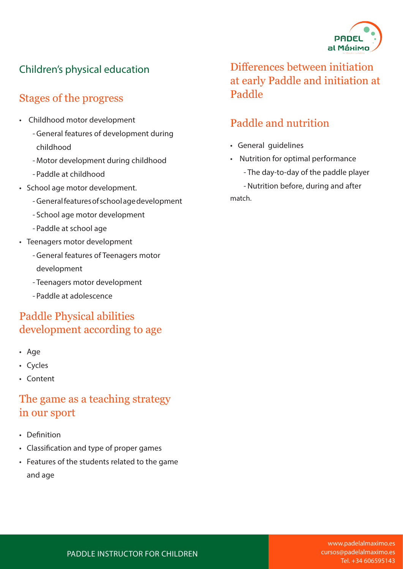

# Children's physical education

# Stages of the progress

- Childhood motor development
	- General features of development during childhood
	- Motor development during childhood
	- Paddle at childhood
- School age motor development.
	- General features of school age development
	- School age motor development
	- Paddle at school age
- Teenagers motor development
	- General features of Teenagers motor development
	- Teenagers motor development
	- Paddle at adolescence

# Paddle Physical abilities development according to age

- Age
- Cycles
- Content

### The game as a teaching strategy in our sport

- Definition
- Classification and type of proper games
- Features of the students related to the game and age

Differences between initiation at early Paddle and initiation at Paddle

# Paddle and nutrition

- General guidelines
- Nutrition for optimal performance
	- The day-to-day of the paddle player

- Nutrition before, during and after match.

#### PADDLE INSTRUCTOR FOR CHILDREN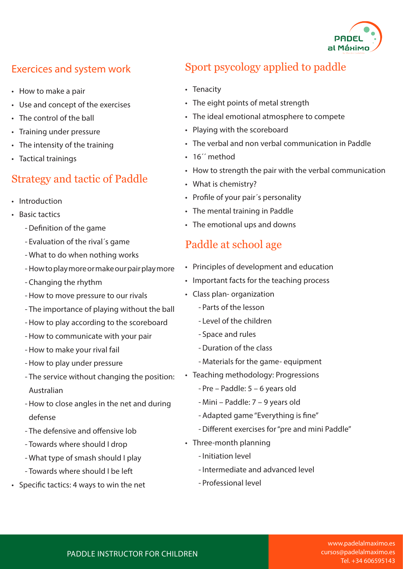

### Exercices and system work

- How to make a pair
- Use and concept of the exercises
- The control of the ball
- Training under pressure
- The intensity of the training
- Tactical trainings

#### Strategy and tactic of Paddle

- Introduction
- Basic tactics
	- -Definition of the game
	- Evaluation of the rival´s game
	- What to do when nothing works
	- How to play more or make our pair play more
	- Changing the rhythm
	- How to move pressure to our rivals
	- The importance of playing without the ball
	- How to play according to the scoreboard
	- How to communicate with your pair
	- How to make your rival fail
	- How to play under pressure
	- The service without changing the position: Australian
	- How to close angles in the net and during defense
	- The defensive and offensive lob
	- Towards where should I drop
	- What type of smash should I play
	- Towards where should I be left
- Specific tactics: 4 ways to win the net

# Sport psycology applied to paddle

- Tenacity
- The eight points of metal strength
- The ideal emotional atmosphere to compete
- Playing with the scoreboard
- The verbal and non verbal communication in Paddle
- 16<sup>"</sup> method
- How to strength the pair with the verbal communication
- What is chemistry?
- Profile of your pair´s personality
- The mental training in Paddle
- The emotional ups and downs

#### Paddle at school age

- Principles of development and education
- Important facts for the teaching process
- Class plan- organization
	- Parts of the lesson
	- Level of the children
	- Space and rules
	- -Duration of the class
	- Materials for the game- equipment
- Teaching methodology: Progressions
	- Pre Paddle: 5 6 years old
	- Mini Paddle: 7 9 years old
	- Adapted game "Everything is fine"
	- -Different exercises for "pre and mini Paddle"
- Three-month planning
	- Initiation level
	- Intermediate and advanced level
	- Professional level